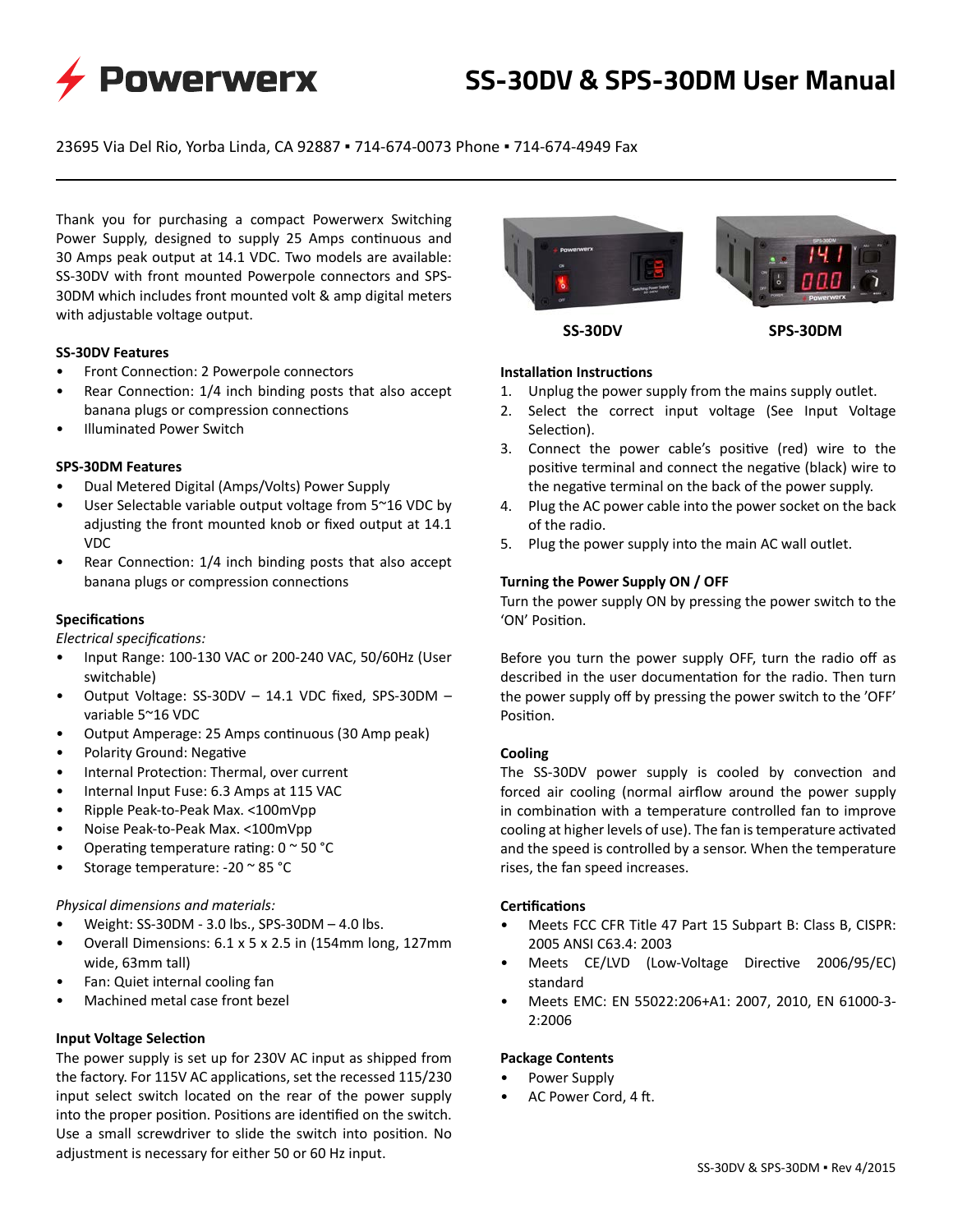

# **SS-30DV & SPS-30DM User Manual**

23695 Via Del Rio, Yorba Linda, CA 92887 ▪ 714-674-0073 Phone ▪ 714-674-4949 Fax

Thank you for purchasing a compact Powerwerx Switching Power Supply, designed to supply 25 Amps continuous and 30 Amps peak output at 14.1 VDC. Two models are available: SS-30DV with front mounted Powerpole connectors and SPS-30DM which includes front mounted volt & amp digital meters with adjustable voltage output.

## **SS-30DV Features**

- Front Connection: 2 Powerpole connectors
- Rear Connection: 1/4 inch binding posts that also accept banana plugs or compression connections
- Illuminated Power Switch

## **SPS-30DM Features**

- Dual Metered Digital (Amps/Volts) Power Supply
- User Selectable variable output voltage from 5~16 VDC by adjusting the front mounted knob or fixed output at 14.1 VDC
- Rear Connection: 1/4 inch binding posts that also accept banana plugs or compression connections

# **Specifications**

*Electrical specifications:*

- Input Range: 100-130 VAC or 200-240 VAC, 50/60Hz (User switchable)
- Output Voltage: SS-30DV 14.1 VDC fixed, SPS-30DM variable 5~16 VDC
- Output Amperage: 25 Amps continuous (30 Amp peak)
- Polarity Ground: Negative
- Internal Protection: Thermal, over current
- Internal Input Fuse: 6.3 Amps at 115 VAC
- Ripple Peak-to-Peak Max. <100mVpp
- Noise Peak-to-Peak Max. <100mVpp
- Operating temperature rating:  $0 \approx 50$  °C
- Storage temperature: -20 ~ 85 °C

# *Physical dimensions and materials:*

- Weight: SS-30DM 3.0 lbs., SPS-30DM 4.0 lbs.
- Overall Dimensions: 6.1 x 5 x 2.5 in (154mm long, 127mm wide, 63mm tall)
- Fan: Quiet internal cooling fan
- Machined metal case front bezel

# **Input Voltage Selection**

The power supply is set up for 230V AC input as shipped from the factory. For 115V AC applications, set the recessed 115/230 input select switch located on the rear of the power supply into the proper position. Positions are identified on the switch. Use a small screwdriver to slide the switch into position. No adjustment is necessary for either 50 or 60 Hz input.



**SS-30DV SPS-30DM**

#### **Installation Instructions**

- 1. Unplug the power supply from the mains supply outlet.
- 2. Select the correct input voltage (See Input Voltage Selection).
- 3. Connect the power cable's positive (red) wire to the positive terminal and connect the negative (black) wire to the negative terminal on the back of the power supply.
- 4. Plug the AC power cable into the power socket on the back of the radio.
- 5. Plug the power supply into the main AC wall outlet.

## **Turning the Power Supply ON / OFF**

Turn the power supply ON by pressing the power switch to the 'ON' Position.

Before you turn the power supply OFF, turn the radio off as described in the user documentation for the radio. Then turn the power supply off by pressing the power switch to the 'OFF' Position.

# **Cooling**

The SS-30DV power supply is cooled by convection and forced air cooling (normal airflow around the power supply in combination with a temperature controlled fan to improve cooling at higher levels of use). The fan is temperature activated and the speed is controlled by a sensor. When the temperature rises, the fan speed increases.

#### **Certifications**

- Meets FCC CFR Title 47 Part 15 Subpart B: Class B, CISPR: 2005 ANSI C63.4: 2003
- Meets CE/LVD (Low-Voltage Directive 2006/95/EC) standard
- Meets EMC: EN 55022:206+A1: 2007, 2010, EN 61000-3- 2:2006

#### **Package Contents**

- Power Supply
- AC Power Cord, 4 ft.